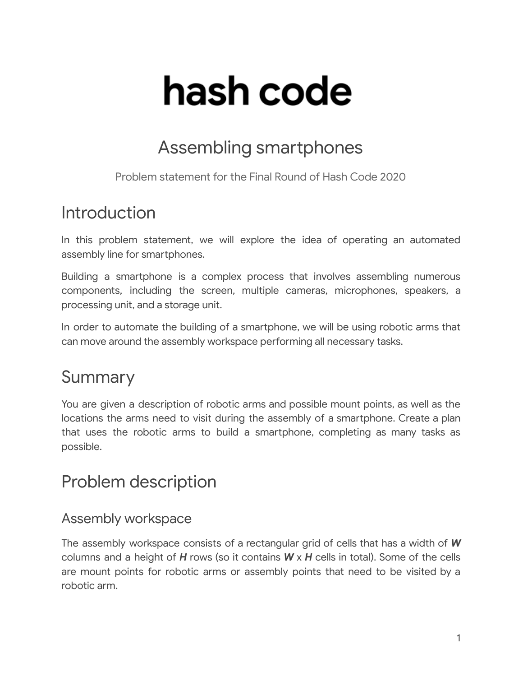# hash code

## Assembling smartphones

Problem statement for the Final Round of Hash Code 2020

## Introduction

In this problem statement, we will explore the idea of operating an automated assembly line for smartphones.

Building a smartphone is a complex process that involves assembling numerous components, including the screen, multiple cameras, microphones, speakers, a processing unit, and a storage unit.

In order to automate the building of a smartphone, we will be using robotic arms that can move around the assembly workspace performing all necessary tasks.

## Summary

You are given a description of robotic arms and possible mount points, as well as the locations the arms need to visit during the assembly of a smartphone. Create a plan that uses the robotic arms to build a smartphone, completing as many tasks as possible.

## Problem description

#### Assembly workspace

The assembly workspace consists of a rectangular grid of cells that has a width of *W* columns and a height of *H* rows (so it contains *W* x *H* cells in total). Some of the cells are mount points for robotic arms or assembly points that need to be visited by a robotic arm.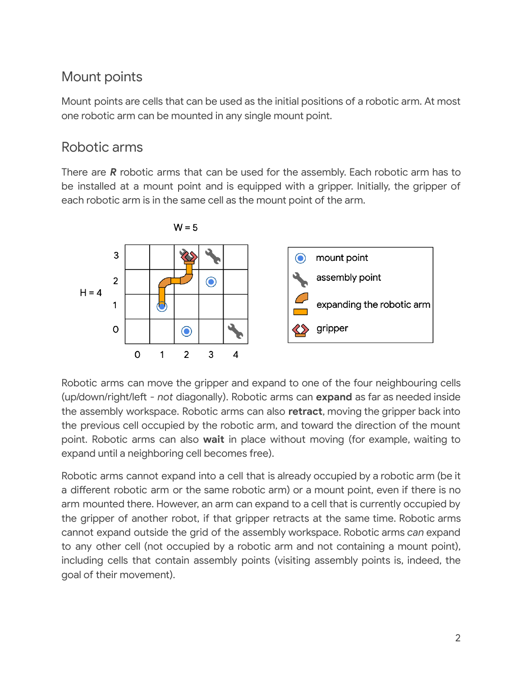### Mount points

Mount points are cells that can be used as the initial positions of a robotic arm. At most one robotic arm can be mounted in any single mount point.

#### Robotic arms

There are *R* robotic arms that can be used for the assembly. Each robotic arm has to be installed at a mount point and is equipped with a gripper. Initially, the gripper of each robotic arm is in the same cell as the mount point of the arm.



Robotic arms can move the gripper and expand to one of the four neighbouring cells (up/down/right/left - not diagonally). Robotic arms can **expand** as far as needed inside the assembly workspace. Robotic arms can also **retract**, moving the gripper back into the previous cell occupied by the robotic arm, and toward the direction of the mount point. Robotic arms can also **wait** in place without moving (for example, waiting to expand until a neighboring cell becomes free).

Robotic arms cannot expand into a cell that is already occupied by a robotic arm (be it a different robotic arm or the same robotic arm) or a mount point, even if there is no arm mounted there. However, an arm can expand to a cell that is currently occupied by the gripper of another robot, if that gripper retracts at the same time. Robotic arms cannot expand outside the grid of the assembly workspace. Robotic arms *can* expand to any other cell (not occupied by a robotic arm and not containing a mount point), including cells that contain assembly points (visiting assembly points is, indeed, the goal of their movement).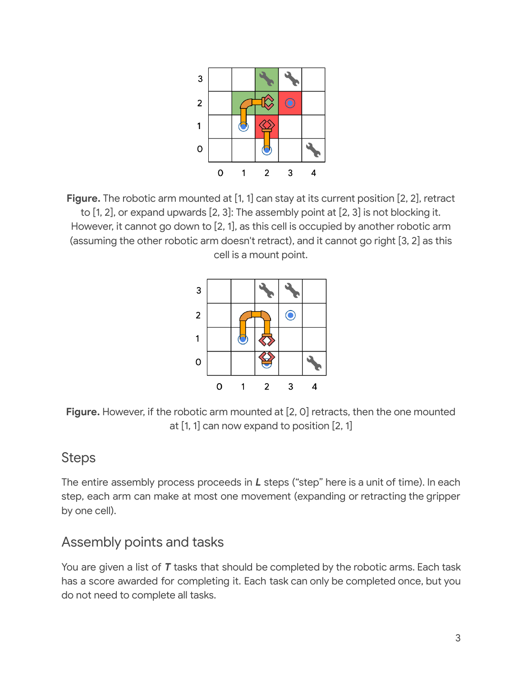

**Figure.** The robotic arm mounted at [1, 1] can stay at its current position [2, 2], retract to [1, 2], or expand upwards [2, 3]: The assembly point at [2, 3] is not blocking it. However, it cannot go down to [2, 1], as this cell is occupied by another robotic arm (assuming the other robotic arm doesn't retract), and it cannot go right [3, 2] as this cell is a mount point.



**Figure.** However, if the robotic arm mounted at [2, 0] retracts, then the one mounted at [1, 1] can now expand to position [2, 1]

#### Steps

The entire assembly process proceeds in *L* steps ("step" here is a unit of time). In each step, each arm can make at most one movement (expanding or retracting the gripper by one cell).

#### Assembly points and tasks

You are given a list of *T* tasks that should be completed by the robotic arms. Each task has a score awarded for completing it. Each task can only be completed once, but you do not need to complete all tasks.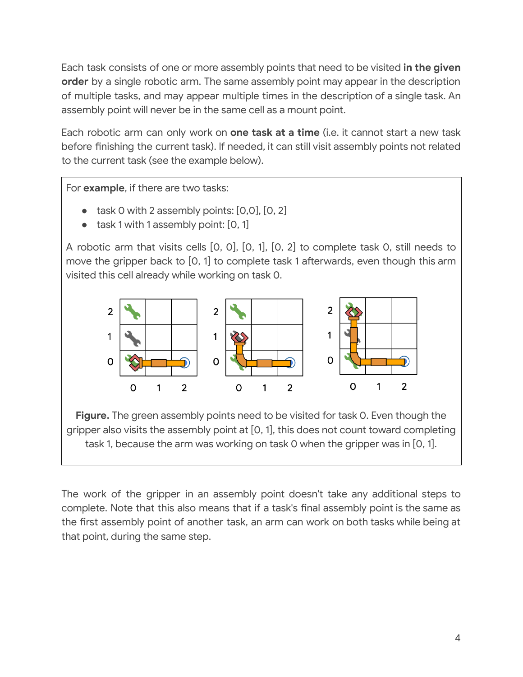Each task consists of one or more assembly points that need to be visited **in the given order** by a single robotic arm. The same assembly point may appear in the description of multiple tasks, and may appear multiple times in the description of a single task. An assembly point will never be in the same cell as a mount point.

Each robotic arm can only work on **one task at a time** (i.e. it cannot start a new task before finishing the current task). If needed, it can still visit assembly points not related to the current task (see the example below).

For **example**, if there are two tasks:

- $\bullet$  task 0 with 2 assembly points:  $[0,0]$ ,  $[0,2]$
- task 1 with 1 assembly point: [0, 1]

A robotic arm that visits cells [0, 0], [0, 1], [0, 2] to complete task 0, still needs to move the gripper back to [0, 1] to complete task 1 afterwards, even though this arm visited this cell already while working on task 0.



**Figure.** The green assembly points need to be visited for task 0. Even though the gripper also visits the assembly point at [0, 1], this does not count toward completing task 1, because the arm was working on task 0 when the gripper was in [0, 1].

The work of the gripper in an assembly point doesn't take any additional steps to complete. Note that this also means that if a task's final assembly point is the same as the first assembly point of another task, an arm can work on both tasks while being at that point, during the same step.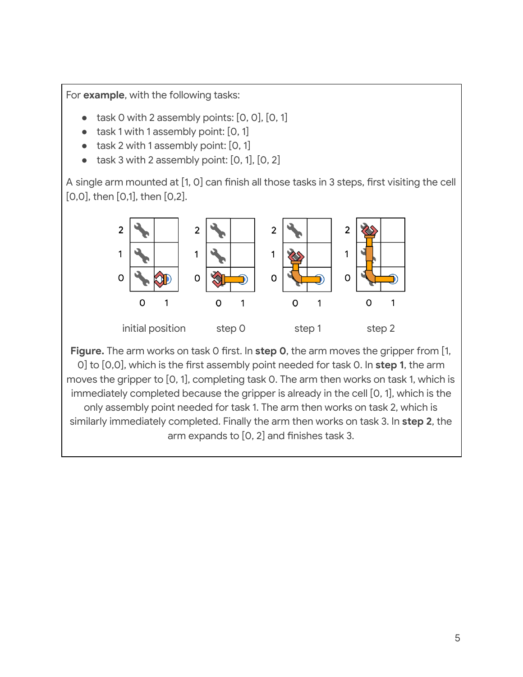For **example**, with the following tasks:

- task 0 with 2 assembly points:  $[0, 0]$ ,  $[0, 1]$
- task 1 with 1 assembly point: [0, 1]
- task 2 with 1 assembly point:  $[0, 1]$
- task 3 with 2 assembly point:  $[0, 1]$ ,  $[0, 2]$

A single arm mounted at [1, 0] can finish all those tasks in 3 steps, first visiting the cell [0,0], then [0,1], then [0,2].



**Figure.** The arm works on task 0 first. In **step 0**, the arm moves the gripper from [1, 0] to [0,0], which is the first assembly point needed for task 0. In step 1, the arm moves the gripper to [0, 1], completing task 0. The arm then works on task 1, which is immediately completed because the gripper is already in the cell [0, 1], which is the only assembly point needed for task 1. The arm then works on task 2, which is similarly immediately completed. Finally the arm then works on task 3. In **step 2**, the arm expands to  $[0, 2]$  and finishes task 3.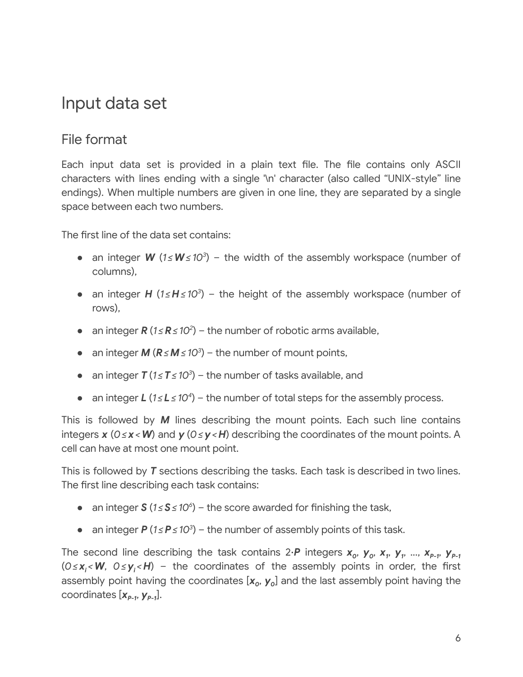## Input data set

#### File format

Each input data set is provided in a plain text file. The file contains only ASCII characters with lines ending with a single '\n' character (also called "UNIX-style" line endings). When multiple numbers are given in one line, they are separated by a single space between each two numbers.

The first line of the data set contains:

- an integer *W* (*1 ≤W≤ 10 3* ) the width of the assembly workspace (number of columns),
- an integer *H* (*1 ≤H≤ 10 3* ) the height of the assembly workspace (number of rows),
- an integer *R* (*1 ≤R≤ 10 2* ) the number of robotic arms available,
- an integer *M* (*R≤M≤ 10 3* ) the number of mount points,
- an integer *T* (*1 ≤T≤ 10 3* ) the number of tasks available, and
- an integer *L* (*1 ≤L ≤ 10 4* ) the number of total steps for the assembly process.

This is followed by *M* lines describing the mount points. Each such line contains integers *x* (*0≤ x <W*) and *y* (*0≤y<H*) describing the coordinates of the mount points. A cell can have at most one mount point.

This is followed by *T* sections describing the tasks. Each task is described in two lines. The first line describing each task contains:

- an integer *S* (*1 ≤S≤ 10 6* ) the score awarded for nishing the task,
- an integer *P* (*1 ≤P≤ 10 3* ) the number of assembly points of this task.

The second line describing the task contains 2  $\bm{P}$  integers  $\bm{x}_o,\ \bm{y}_o,\ \bm{x}_r,\ \bm{y}_r$  ...,  $\bm{x}_{\bm{P-1}}$ ,  $\bm{y}_{\bm{P-1}}$ (0≤x<sub>i</sub><W, 0≤y<sub>i</sub><H) – the coordinates of the assembly points in order, the first assembly point having the coordinates [ $x_o$ ,  $y_o$ ] and the last assembly point having the coordinates [*xP-1* , *yP-1* ].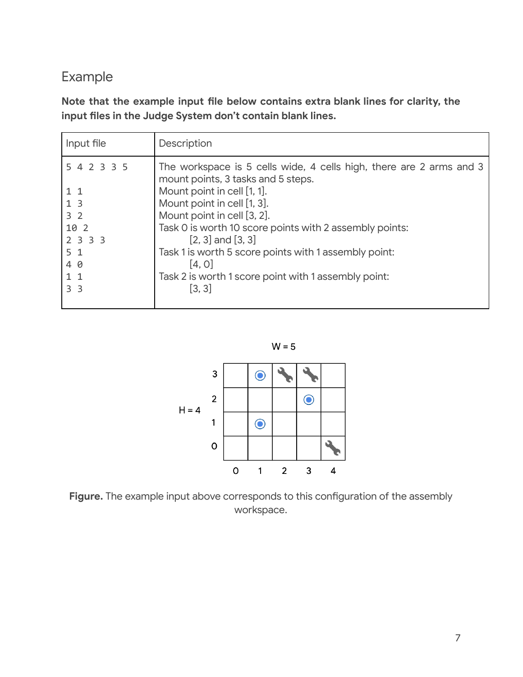#### Example

**Note that the example input le below contains extra blank lines for clarity, the input les in the Judge System don't contain blank lines.**

| Input file     | Description                                                                                               |
|----------------|-----------------------------------------------------------------------------------------------------------|
| 5 4 2 3 3 5    | The workspace is 5 cells wide, 4 cells high, there are 2 arms and 3<br>mount points, 3 tasks and 5 steps. |
| $1\quad1$      | Mount point in cell [1, 1].                                                                               |
| 1 <sub>3</sub> | Mount point in cell [1, 3].                                                                               |
| 3 <sub>2</sub> | Mount point in cell [3, 2].                                                                               |
| 10 2           | Task 0 is worth 10 score points with 2 assembly points:                                                   |
| 2 3 3 3        | $[2, 3]$ and $[3, 3]$                                                                                     |
| 5 <sub>1</sub> | Task 1 is worth 5 score points with 1 assembly point:                                                     |
| 4 0            | [4, 0]                                                                                                    |
| $1\quad1$      | Task 2 is worth 1 score point with 1 assembly point:                                                      |
| 3 <sub>3</sub> | [3, 3]                                                                                                    |
|                |                                                                                                           |

 $W = 5$ 



Figure. The example input above corresponds to this configuration of the assembly workspace.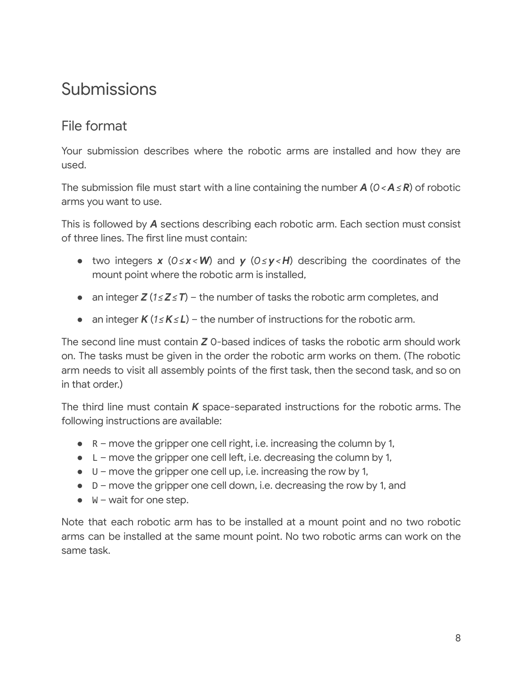## Submissions

#### File format

Your submission describes where the robotic arms are installed and how they are used.

The submission file must start with a line containing the number  $A$  ( $0 < A \le R$ ) of robotic arms you want to use.

This is followed by *A* sections describing each robotic arm. Each section must consist of three lines. The first line must contain:

- two integers *x* (*0≤ x <W*) and *y* (*0≤y<H*) describing the coordinates of the mount point where the robotic arm is installed,
- an integer *Z* (*1 ≤Z≤T*) the number of tasks the robotic arm completes, and
- an integer *K* (*1 ≤K≤L*) the number of instructions for the robotic arm.

The second line must contain *Z* 0-based indices of tasks the robotic arm should work on. The tasks must be given in the order the robotic arm works on them. (The robotic arm needs to visit all assembly points of the first task, then the second task, and so on in that order.)

The third line must contain *K* space-separated instructions for the robotic arms. The following instructions are available:

- $\bullet$  R move the gripper one cell right, i.e. increasing the column by 1,
- $\bullet$  L move the gripper one cell left, i.e. decreasing the column by 1,
- $\bullet$  U move the gripper one cell up, i.e. increasing the row by 1,
- $\bullet$  D move the gripper one cell down, i.e. decreasing the row by 1, and
- $\bullet$   $\mathsf{W}-$  wait for one step.

Note that each robotic arm has to be installed at a mount point and no two robotic arms can be installed at the same mount point. No two robotic arms can work on the same task.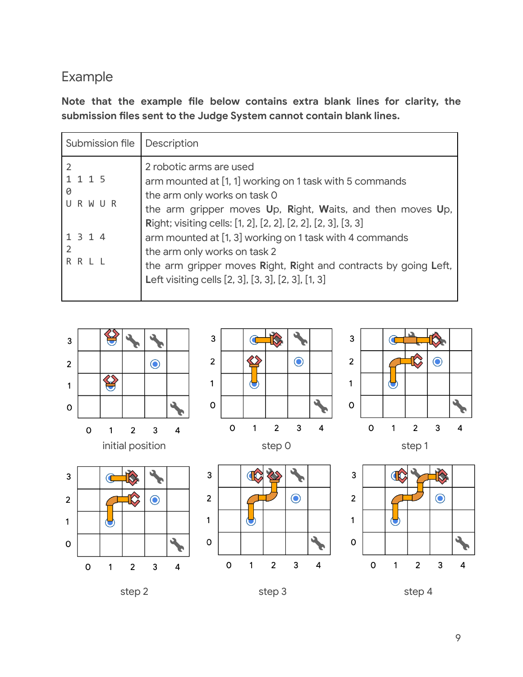#### Example

**Note that the example le below contains extra blank lines for clarity, the submission les sent to the Judge System cannot contain blank lines.**

| Submission file                                       | Description                                                                                                                                                                                                                                                                                                                                                                                                                                                           |
|-------------------------------------------------------|-----------------------------------------------------------------------------------------------------------------------------------------------------------------------------------------------------------------------------------------------------------------------------------------------------------------------------------------------------------------------------------------------------------------------------------------------------------------------|
| 1115<br>0<br>URWUR<br>1 3 1 4<br>2<br>$R$ $R$ $I$ $I$ | 2 robotic arms are used<br>arm mounted at [1, 1] working on 1 task with 5 commands<br>the arm only works on task 0<br>the arm gripper moves Up, Right, Waits, and then moves Up,<br>Right; visiting cells: [1, 2], [2, 2], [2, 2], [2, 3], [3, 3]<br>arm mounted at [1, 3] working on 1 task with 4 commands<br>the arm only works on task 2<br>the arm gripper moves Right, Right and contracts by going Left,<br>Left visiting cells [2, 3], [3, 3], [2, 3], [1, 3] |